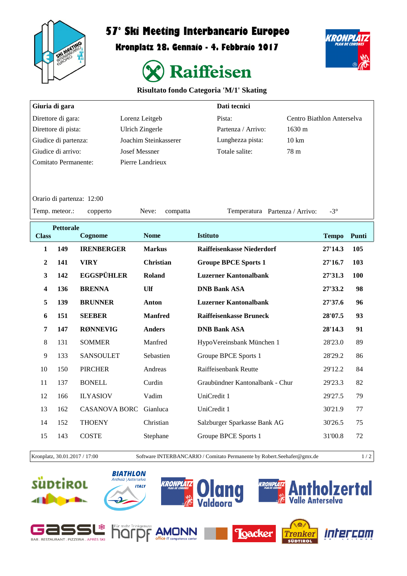

## **57° Ski Meeting Interbancario Europeo**

**Kronplatz 28. Gennaio - 4. Febbraio 2017**



## **Risultato fondo Categoria 'M/1' Skating**

| Giuria di gara              |                  |                        |                    | Dati tecnici                      |                            |       |  |  |  |  |  |  |
|-----------------------------|------------------|------------------------|--------------------|-----------------------------------|----------------------------|-------|--|--|--|--|--|--|
| Direttore di gara:          |                  |                        | Lorenz Leitgeb     | Pista:                            | Centro Biathlon Anterselva |       |  |  |  |  |  |  |
| Direttore di pista:         |                  | <b>Ulrich Zingerle</b> | Partenza / Arrivo: | 1630 m                            |                            |       |  |  |  |  |  |  |
| Giudice di partenza:        |                  | Joachim Steinkasserer  | Lunghezza pista:   | 10 km                             |                            |       |  |  |  |  |  |  |
| Giudice di arrivo:          |                  | <b>Josef Messner</b>   | Totale salite:     | 78 m                              |                            |       |  |  |  |  |  |  |
| <b>Comitato Permanente:</b> |                  |                        | Pierre Landrieux   |                                   |                            |       |  |  |  |  |  |  |
|                             |                  |                        |                    |                                   |                            |       |  |  |  |  |  |  |
|                             |                  |                        |                    |                                   |                            |       |  |  |  |  |  |  |
| Orario di partenza: 12:00   |                  |                        |                    |                                   |                            |       |  |  |  |  |  |  |
| Temp. meteor.:              |                  | copperto               | Neve:<br>compatta  | Temperatura Partenza / Arrivo:    | $-3^\circ$                 |       |  |  |  |  |  |  |
|                             | <b>Pettorale</b> |                        |                    |                                   |                            |       |  |  |  |  |  |  |
| <b>Class</b>                |                  | Cognome                | <b>Nome</b>        | <b>Istituto</b>                   | <b>Tempo</b>               | Punti |  |  |  |  |  |  |
| $\mathbf{1}$                | 149              | <b>IRENBERGER</b>      | <b>Markus</b>      | <b>Raiffeisenkasse Niederdorf</b> | 27'14.3                    | 105   |  |  |  |  |  |  |
| 2                           | 141              | <b>VIRY</b>            | <b>Christian</b>   | <b>Groupe BPCE Sports 1</b>       | 27'16.7                    | 103   |  |  |  |  |  |  |
| 3                           | 142              | <b>EGGSPÜHLER</b>      | Roland             | <b>Luzerner Kantonalbank</b>      | 27'31.3                    | 100   |  |  |  |  |  |  |
| 4                           | 136              | <b>BRENNA</b>          | Ulf                | <b>DNB Bank ASA</b>               | 27'33.2                    | 98    |  |  |  |  |  |  |
| 5                           | 139              | <b>BRUNNER</b>         | Anton              | <b>Luzerner Kantonalbank</b>      | 27'37.6                    | 96    |  |  |  |  |  |  |
| 6                           | 151              | <b>SEEBER</b>          | <b>Manfred</b>     | <b>Raiffeisenkasse Bruneck</b>    | 28'07.5                    | 93    |  |  |  |  |  |  |
| 7                           | 147              | <b>RØNNEVIG</b>        | <b>Anders</b>      | <b>DNB Bank ASA</b>               | 28'14.3                    | 91    |  |  |  |  |  |  |
| 8                           | 131              | <b>SOMMER</b>          | Manfred            | HypoVereinsbank München 1         | 28'23.0                    | 89    |  |  |  |  |  |  |
| 9                           | 133              | <b>SANSOULET</b>       | Sebastien          | Groupe BPCE Sports 1              | 28'29.2                    | 86    |  |  |  |  |  |  |
| 10                          | 150              | <b>PIRCHER</b>         | Andreas            | Raiffeisenbank Reutte             | 29'12.2                    | 84    |  |  |  |  |  |  |
| 11                          | 137              | <b>BONELL</b>          | Curdin             | Graubündner Kantonalbank - Chur   | 29'23.3                    | 82    |  |  |  |  |  |  |
| 12                          | 166              | <b>ILYASIOV</b>        | Vadim              | UniCredit 1                       | 29'27.5                    | 79    |  |  |  |  |  |  |
| 13                          | 162              | <b>CASANOVA BORC</b>   | Gianluca           | UniCredit 1                       | 30'21.9                    | 77    |  |  |  |  |  |  |
| 14                          | 152              | <b>THOENY</b>          | Christian          | Salzburger Sparkasse Bank AG      | 30'26.5                    | 75    |  |  |  |  |  |  |
| 15                          | 143              | <b>COSTE</b>           | Stephane           | Groupe BPCE Sports 1              | 31'00.8                    | 72    |  |  |  |  |  |  |

Kronplatz, 30.01.2017 / 17:00 Software INTERBANCARIO / Comitato Permanente by Robert.Seehafer@gmx.de 1 / 2

KRONPL